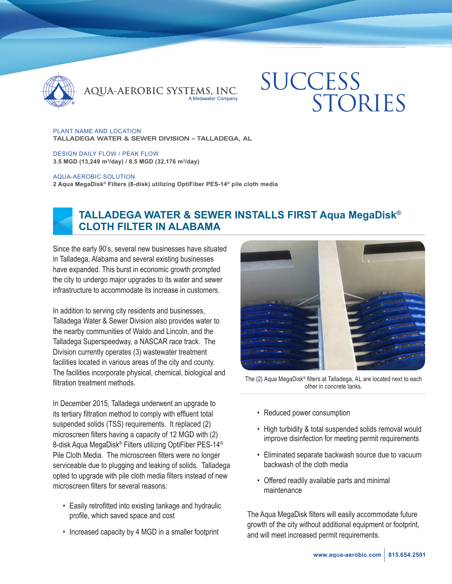

QUA-AEROBIC SYSTEMS, INC.

# **SUCCESS** STORIES

PLANT NAME AND LOCATION TALLADEGA WATER & SEWER DIVISION – TALLADEGA, AL

DESIGN DAILY FLOW / PEAK FLOW **3.5 MGD (13,249 m3/day) / 8.5 MGD (32,176 m3/day)**

#### AQUA-AEROBIC SOLUTION

**2 Aqua MegaDisk® Filters (8-disk) utilizing OptiFiber PES-14® pile cloth media**



## **TALLADEGA WATER & SEWER INSTALLS FIRST Aqua MegaDisk® CLOTH FILTER IN ALABAMA**

Since the early 90's, several new businesses have situated in Talladega, Alabama and several existing businesses have expanded. This burst in economic growth prompted the city to undergo major upgrades to its water and sewer infrastructure to accommodate its increase in customers.

In addition to serving city residents and businesses, Talladega Water & Sewer Division also provides water to the nearby communities of Waldo and Lincoln, and the Talladega Superspeedway, a NASCAR race track. The Division currently operates (3) wastewater treatment facilities located in various areas of the city and county. The facilities incorporate physical, chemical, biological and filtration treatment methods

In December 2015, Talladega underwent an upgrade to its tertiary filtration method to comply with effluent total suspended solids (TSS) requirements. It replaced (2) microscreen filters having a capacity of 12 MGD with (2) 8-disk Aqua MegaDisk® Filters utilizing OptiFiber PES-14® Pile Cloth Media. The microscreen filters were no longer serviceable due to plugging and leaking of solids. Talladega opted to upgrade with pile cloth media filters instead of new microscreen filters for several reasons:

- Easily retrofitted into existing tankage and hydraulic profile, which saved space and cost
- Increased capacity by 4 MGD in a smaller footprint



The (2) Aqua MegaDisk® filters at Talladega, AL are located next to each other in concrete tanks.

- Reduced power consumption
- High turbidity & total suspended solids removal would improve disinfection for meeting permit requirements
- Eliminated separate backwash source due to vacuum backwash of the cloth media
- Offered readily available parts and minimal maintenance

The Aqua MegaDisk filters will easily accommodate future growth of the city without additional equipment or footprint, and will meet increased permit requirements.